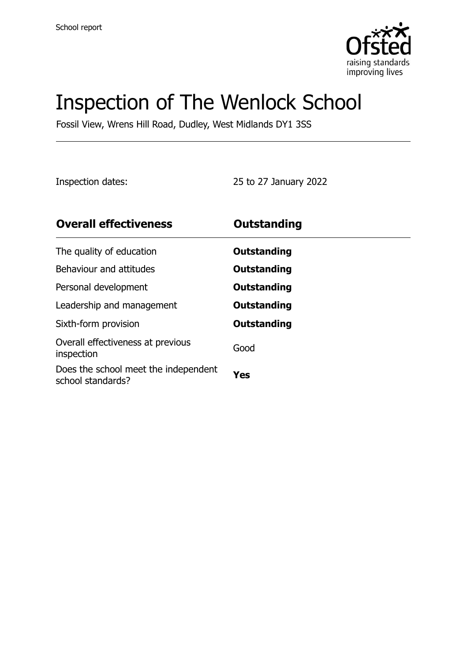

# Inspection of The Wenlock School

Fossil View, Wrens Hill Road, Dudley, West Midlands DY1 3SS

Inspection dates: 25 to 27 January 2022

| <b>Overall effectiveness</b>                              | <b>Outstanding</b> |
|-----------------------------------------------------------|--------------------|
| The quality of education                                  | Outstanding        |
| Behaviour and attitudes                                   | Outstanding        |
| Personal development                                      | Outstanding        |
| Leadership and management                                 | Outstanding        |
| Sixth-form provision                                      | Outstanding        |
| Overall effectiveness at previous<br>inspection           | Good               |
| Does the school meet the independent<br>school standards? | Yes                |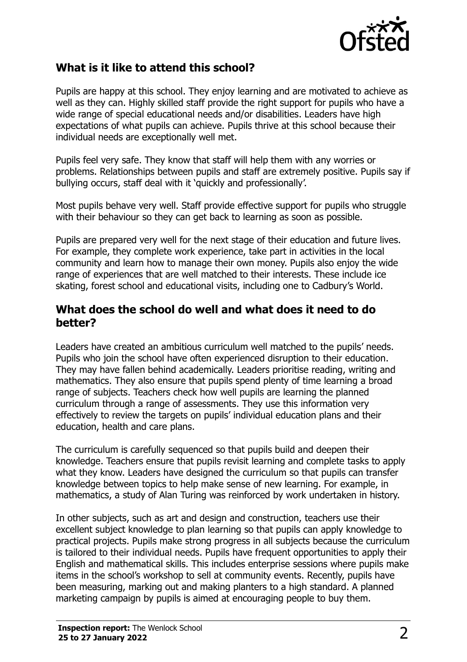

# **What is it like to attend this school?**

Pupils are happy at this school. They enjoy learning and are motivated to achieve as well as they can. Highly skilled staff provide the right support for pupils who have a wide range of special educational needs and/or disabilities. Leaders have high expectations of what pupils can achieve. Pupils thrive at this school because their individual needs are exceptionally well met.

Pupils feel very safe. They know that staff will help them with any worries or problems. Relationships between pupils and staff are extremely positive. Pupils say if bullying occurs, staff deal with it 'quickly and professionally'.

Most pupils behave very well. Staff provide effective support for pupils who struggle with their behaviour so they can get back to learning as soon as possible.

Pupils are prepared very well for the next stage of their education and future lives. For example, they complete work experience, take part in activities in the local community and learn how to manage their own money. Pupils also enjoy the wide range of experiences that are well matched to their interests. These include ice skating, forest school and educational visits, including one to Cadbury's World.

## **What does the school do well and what does it need to do better?**

Leaders have created an ambitious curriculum well matched to the pupils' needs. Pupils who join the school have often experienced disruption to their education. They may have fallen behind academically. Leaders prioritise reading, writing and mathematics. They also ensure that pupils spend plenty of time learning a broad range of subjects. Teachers check how well pupils are learning the planned curriculum through a range of assessments. They use this information very effectively to review the targets on pupils' individual education plans and their education, health and care plans.

The curriculum is carefully sequenced so that pupils build and deepen their knowledge. Teachers ensure that pupils revisit learning and complete tasks to apply what they know. Leaders have designed the curriculum so that pupils can transfer knowledge between topics to help make sense of new learning. For example, in mathematics, a study of Alan Turing was reinforced by work undertaken in history.

In other subjects, such as art and design and construction, teachers use their excellent subject knowledge to plan learning so that pupils can apply knowledge to practical projects. Pupils make strong progress in all subjects because the curriculum is tailored to their individual needs. Pupils have frequent opportunities to apply their English and mathematical skills. This includes enterprise sessions where pupils make items in the school's workshop to sell at community events. Recently, pupils have been measuring, marking out and making planters to a high standard. A planned marketing campaign by pupils is aimed at encouraging people to buy them.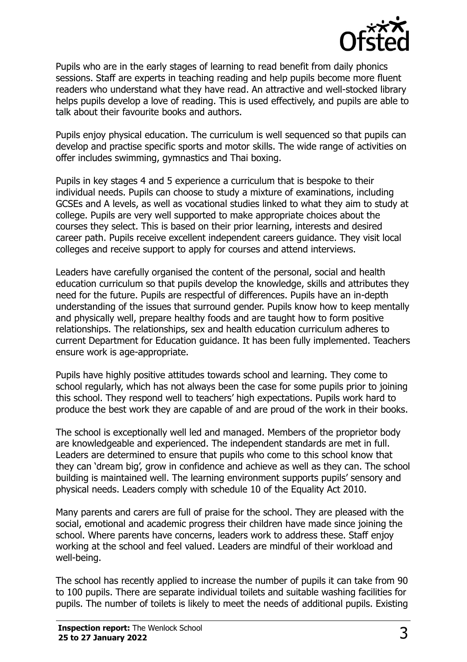

Pupils who are in the early stages of learning to read benefit from daily phonics sessions. Staff are experts in teaching reading and help pupils become more fluent readers who understand what they have read. An attractive and well-stocked library helps pupils develop a love of reading. This is used effectively, and pupils are able to talk about their favourite books and authors.

Pupils enjoy physical education. The curriculum is well sequenced so that pupils can develop and practise specific sports and motor skills. The wide range of activities on offer includes swimming, gymnastics and Thai boxing.

Pupils in key stages 4 and 5 experience a curriculum that is bespoke to their individual needs. Pupils can choose to study a mixture of examinations, including GCSEs and A levels, as well as vocational studies linked to what they aim to study at college. Pupils are very well supported to make appropriate choices about the courses they select. This is based on their prior learning, interests and desired career path. Pupils receive excellent independent careers guidance. They visit local colleges and receive support to apply for courses and attend interviews.

Leaders have carefully organised the content of the personal, social and health education curriculum so that pupils develop the knowledge, skills and attributes they need for the future. Pupils are respectful of differences. Pupils have an in-depth understanding of the issues that surround gender. Pupils know how to keep mentally and physically well, prepare healthy foods and are taught how to form positive relationships. The relationships, sex and health education curriculum adheres to current Department for Education guidance. It has been fully implemented. Teachers ensure work is age-appropriate.

Pupils have highly positive attitudes towards school and learning. They come to school regularly, which has not always been the case for some pupils prior to joining this school. They respond well to teachers' high expectations. Pupils work hard to produce the best work they are capable of and are proud of the work in their books.

The school is exceptionally well led and managed. Members of the proprietor body are knowledgeable and experienced. The independent standards are met in full. Leaders are determined to ensure that pupils who come to this school know that they can 'dream big', grow in confidence and achieve as well as they can. The school building is maintained well. The learning environment supports pupils' sensory and physical needs. Leaders comply with schedule 10 of the Equality Act 2010.

Many parents and carers are full of praise for the school. They are pleased with the social, emotional and academic progress their children have made since joining the school. Where parents have concerns, leaders work to address these. Staff enjoy working at the school and feel valued. Leaders are mindful of their workload and well-being.

The school has recently applied to increase the number of pupils it can take from 90 to 100 pupils. There are separate individual toilets and suitable washing facilities for pupils. The number of toilets is likely to meet the needs of additional pupils. Existing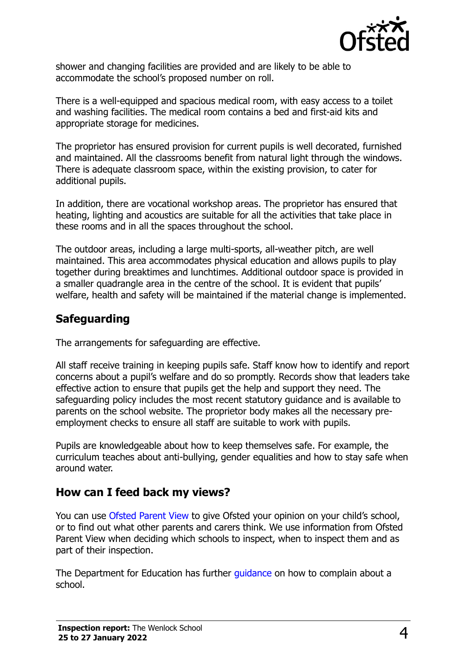

shower and changing facilities are provided and are likely to be able to accommodate the school's proposed number on roll.

There is a well-equipped and spacious medical room, with easy access to a toilet and washing facilities. The medical room contains a bed and first-aid kits and appropriate storage for medicines.

The proprietor has ensured provision for current pupils is well decorated, furnished and maintained. All the classrooms benefit from natural light through the windows. There is adequate classroom space, within the existing provision, to cater for additional pupils.

In addition, there are vocational workshop areas. The proprietor has ensured that heating, lighting and acoustics are suitable for all the activities that take place in these rooms and in all the spaces throughout the school.

The outdoor areas, including a large multi-sports, all-weather pitch, are well maintained. This area accommodates physical education and allows pupils to play together during breaktimes and lunchtimes. Additional outdoor space is provided in a smaller quadrangle area in the centre of the school. It is evident that pupils' welfare, health and safety will be maintained if the material change is implemented.

# **Safeguarding**

The arrangements for safeguarding are effective.

All staff receive training in keeping pupils safe. Staff know how to identify and report concerns about a pupil's welfare and do so promptly. Records show that leaders take effective action to ensure that pupils get the help and support they need. The safeguarding policy includes the most recent statutory guidance and is available to parents on the school website. The proprietor body makes all the necessary preemployment checks to ensure all staff are suitable to work with pupils.

Pupils are knowledgeable about how to keep themselves safe. For example, the curriculum teaches about anti-bullying, gender equalities and how to stay safe when around water.

# **How can I feed back my views?**

You can use [Ofsted Parent View](http://parentview.ofsted.gov.uk/) to give Ofsted your opinion on your child's school, or to find out what other parents and carers think. We use information from Ofsted Parent View when deciding which schools to inspect, when to inspect them and as part of their inspection.

The Department for Education has further [guidance](http://www.gov.uk/complain-about-school) on how to complain about a school.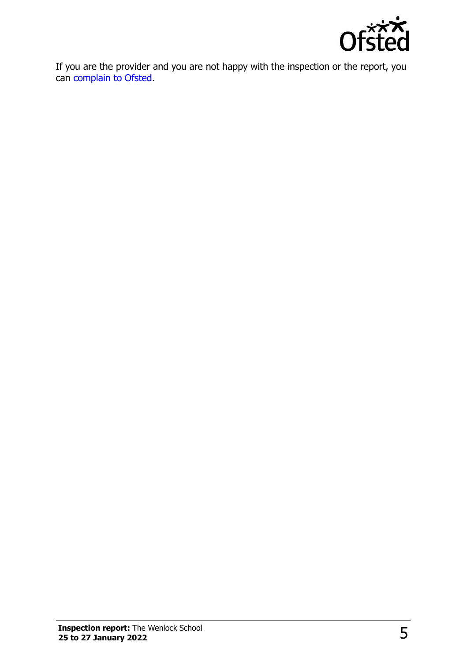

If you are the provider and you are not happy with the inspection or the report, you can [complain to Ofsted.](http://www.gov.uk/complain-ofsted-report)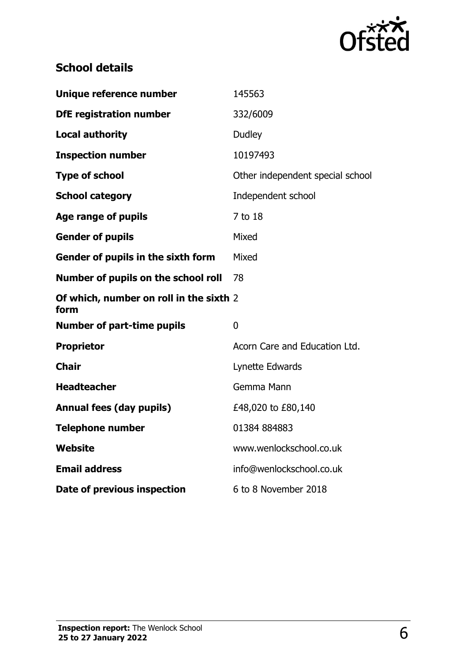

# **School details**

| Unique reference number                         | 145563                           |
|-------------------------------------------------|----------------------------------|
| <b>DfE</b> registration number                  | 332/6009                         |
| <b>Local authority</b>                          | <b>Dudley</b>                    |
| <b>Inspection number</b>                        | 10197493                         |
| <b>Type of school</b>                           | Other independent special school |
| <b>School category</b>                          | Independent school               |
| Age range of pupils                             | 7 to 18                          |
| <b>Gender of pupils</b>                         | Mixed                            |
| Gender of pupils in the sixth form              | Mixed                            |
| Number of pupils on the school roll             | 78                               |
| Of which, number on roll in the sixth 2<br>form |                                  |
| <b>Number of part-time pupils</b>               | $\overline{0}$                   |
| <b>Proprietor</b>                               | Acorn Care and Education Ltd.    |
| <b>Chair</b>                                    | Lynette Edwards                  |
| <b>Headteacher</b>                              | Gemma Mann                       |
| <b>Annual fees (day pupils)</b>                 | £48,020 to £80,140               |
| <b>Telephone number</b>                         | 01384884883                      |
| Website                                         | www.wenlockschool.co.uk          |
| <b>Email address</b>                            | info@wenlockschool.co.uk         |
| Date of previous inspection                     | 6 to 8 November 2018             |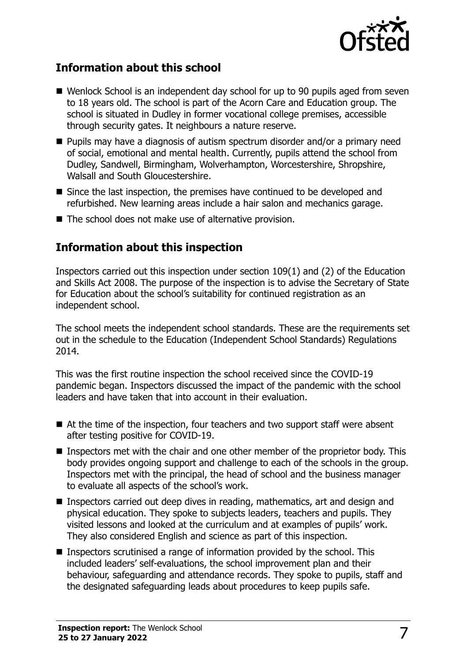

# **Information about this school**

- Wenlock School is an independent day school for up to 90 pupils aged from seven to 18 years old. The school is part of the Acorn Care and Education group. The school is situated in Dudley in former vocational college premises, accessible through security gates. It neighbours a nature reserve.
- Pupils may have a diagnosis of autism spectrum disorder and/or a primary need of social, emotional and mental health. Currently, pupils attend the school from Dudley, Sandwell, Birmingham, Wolverhampton, Worcestershire, Shropshire, Walsall and South Gloucestershire.
- Since the last inspection, the premises have continued to be developed and refurbished. New learning areas include a hair salon and mechanics garage.
- The school does not make use of alternative provision.

# **Information about this inspection**

Inspectors carried out this inspection under section 109(1) and (2) of the Education and Skills Act 2008. The purpose of the inspection is to advise the Secretary of State for Education about the school's suitability for continued registration as an independent school.

The school meets the independent school standards. These are the requirements set out in the schedule to the Education (Independent School Standards) Regulations 2014.

This was the first routine inspection the school received since the COVID-19 pandemic began. Inspectors discussed the impact of the pandemic with the school leaders and have taken that into account in their evaluation.

- At the time of the inspection, four teachers and two support staff were absent after testing positive for COVID-19.
- Inspectors met with the chair and one other member of the proprietor body. This body provides ongoing support and challenge to each of the schools in the group. Inspectors met with the principal, the head of school and the business manager to evaluate all aspects of the school's work.
- Inspectors carried out deep dives in reading, mathematics, art and design and physical education. They spoke to subjects leaders, teachers and pupils. They visited lessons and looked at the curriculum and at examples of pupils' work. They also considered English and science as part of this inspection.
- Inspectors scrutinised a range of information provided by the school. This included leaders' self-evaluations, the school improvement plan and their behaviour, safeguarding and attendance records. They spoke to pupils, staff and the designated safeguarding leads about procedures to keep pupils safe.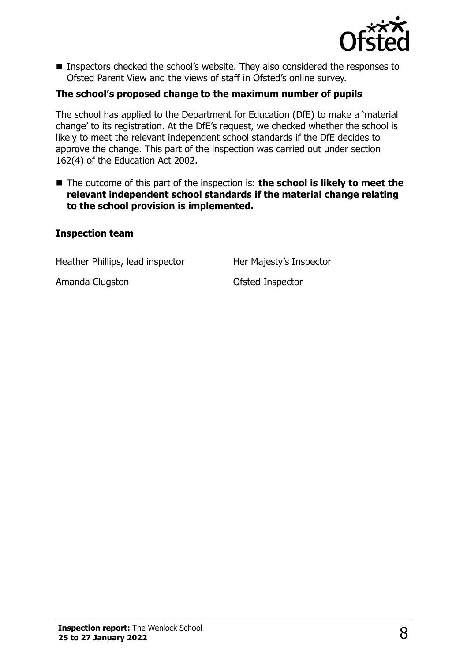

■ Inspectors checked the school's website. They also considered the responses to Ofsted Parent View and the views of staff in Ofsted's online survey.

### **The school's proposed change to the maximum number of pupils**

The school has applied to the Department for Education (DfE) to make a 'material change' to its registration. At the DfE's request, we checked whether the school is likely to meet the relevant independent school standards if the DfE decides to approve the change. This part of the inspection was carried out under section 162(4) of the Education Act 2002.

■ The outcome of this part of the inspection is: **the school is likely to meet the relevant independent school standards if the material change relating to the school provision is implemented.** 

#### **Inspection team**

Heather Phillips, lead inspector Her Majesty's Inspector

Amanda Clugston **Camanda** Clugston **Clugston** Ofsted Inspector